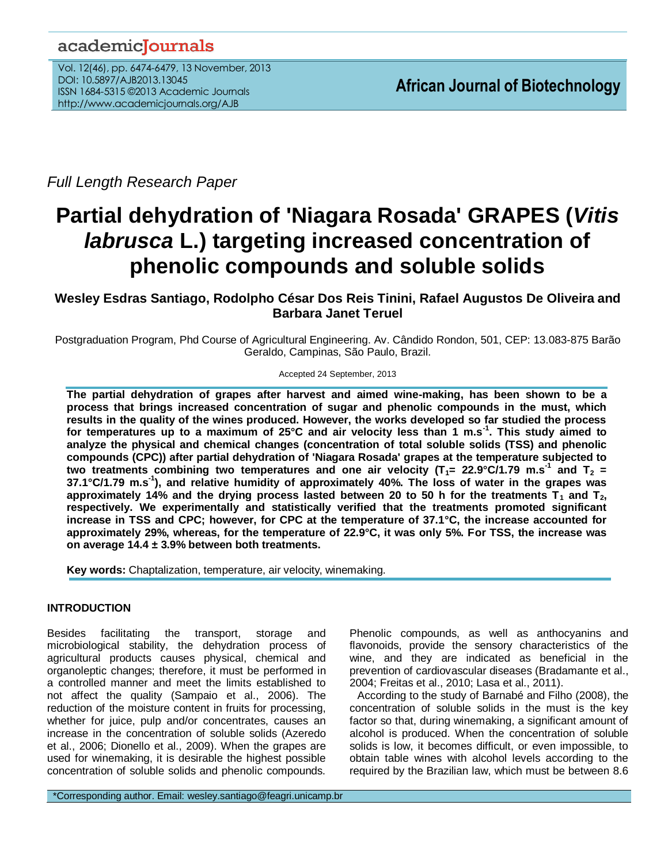## academicJournals

Vol. 12(46), pp. 6474-6479, 13 November, 2013 DOI: 10.5897/AJB2013.13045 ISSN 1684-5315 ©2013 Academic Journals http://www.academicjournals.org/AJB

*Full Length Research Paper*

# **Partial dehydration of 'Niagara Rosada' GRAPES (***Vitis labrusca* **L.) targeting increased concentration of phenolic compounds and soluble solids**

## **Wesley Esdras Santiago, Rodolpho César Dos Reis Tinini, Rafael Augustos De Oliveira and Barbara Janet Teruel**

Postgraduation Program, Phd Course of Agricultural Engineering. Av. Cândido Rondon, 501, CEP: 13.083-875 Barão Geraldo, Campinas, São Paulo, Brazil.

Accepted 24 September, 2013

**The partial dehydration of grapes after harvest and aimed wine-making, has been shown to be a process that brings increased concentration of sugar and phenolic compounds in the must, which results in the quality of the wines produced. However, the works developed so far studied the process for temperatures up to a maximum of 25°C and air velocity less than 1 m.s-1 . This study aimed to analyze the physical and chemical changes (concentration of total soluble solids (TSS) and phenolic compounds (CPC)) after partial dehydration of 'Niagara Rosada' grapes at the temperature subjected to**  two treatments combining two temperatures and one air velocity (T<sub>1</sub>= 22.9°C/1.79 m.s<sup>-1</sup> and T<sub>2</sub> = **37.1°C/1.79 m.s-1 ), and relative humidity of approximately 40%. The loss of water in the grapes was** approximately 14% and the drying process lasted between 20 to 50 h for the treatments  $T_1$  and  $T_2$ , **respectively. We experimentally and statistically verified that the treatments promoted significant increase in TSS and CPC; however, for CPC at the temperature of 37.1°C, the increase accounted for approximately 29%, whereas, for the temperature of 22.9°C, it was only 5%. For TSS, the increase was on average 14.4 ± 3.9% between both treatments.** 

**Key words:** Chaptalization, temperature, air velocity, winemaking.

### **INTRODUCTION**

Besides facilitating the transport, storage and microbiological stability, the dehydration process of agricultural products causes physical, chemical and organoleptic changes; therefore, it must be performed in a controlled manner and meet the limits established to not affect the quality (Sampaio et al., 2006). The reduction of the moisture content in fruits for processing, whether for juice, pulp and/or concentrates, causes an increase in the concentration of soluble solids (Azeredo et al., 2006; Dionello et al., 2009). When the grapes are used for winemaking, it is desirable the highest possible concentration of soluble solids and phenolic compounds. Phenolic compounds, as well as anthocyanins and flavonoids, provide the sensory characteristics of the wine, and they are indicated as beneficial in the prevention of cardiovascular diseases (Bradamante et al., 2004; Freitas et al., 2010; Lasa et al., 2011).

According to the study of Barnabé and Filho (2008), the concentration of soluble solids in the must is the key factor so that, during winemaking, a significant amount of alcohol is produced. When the concentration of soluble solids is low, it becomes difficult, or even impossible, to obtain table wines with alcohol levels according to the required by the Brazilian law, which must be between 8.6

\*Corresponding author. Email: wesley.santiago@feagri.unicamp.br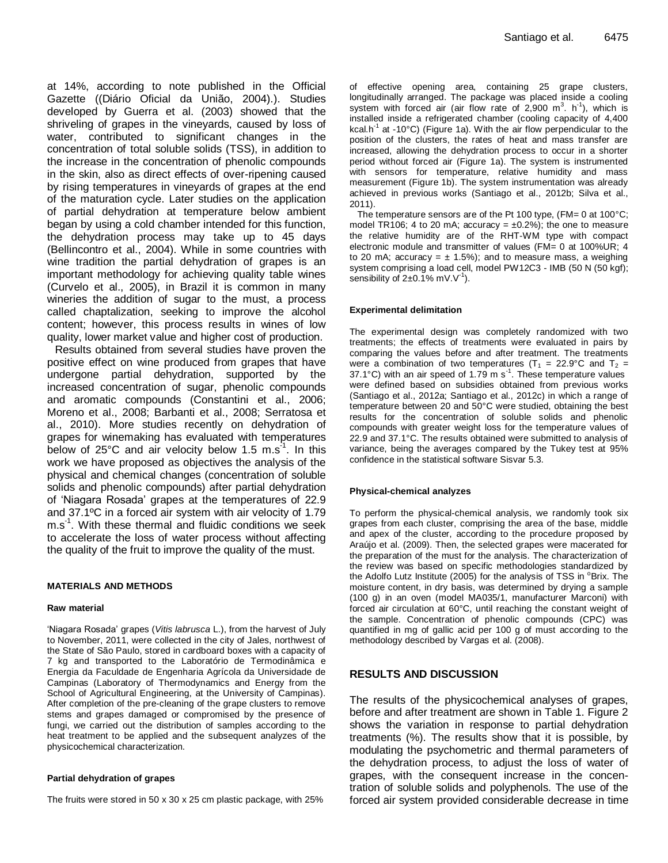at 14%, according to note published in the Official Gazette ((Diário Oficial da União, 2004).). Studies developed by Guerra et al. (2003) showed that the shriveling of grapes in the vineyards, caused by loss of water, contributed to significant changes in the concentration of total soluble solids (TSS), in addition to the increase in the concentration of phenolic compounds in the skin, also as direct effects of over-ripening caused by rising temperatures in vineyards of grapes at the end of the maturation cycle. Later studies on the application of partial dehydration at temperature below ambient began by using a cold chamber intended for this function, the dehydration process may take up to 45 days (Bellincontro et al., 2004). While in some countries with wine tradition the partial dehydration of grapes is an important methodology for achieving quality table wines (Curvelo et al., 2005), in Brazil it is common in many wineries the addition of sugar to the must, a process called chaptalization, seeking to improve the alcohol content; however, this process results in wines of low quality, lower market value and higher cost of production.

Results obtained from several studies have proven the positive effect on wine produced from grapes that have undergone partial dehydration, supported by the increased concentration of sugar, phenolic compounds and aromatic compounds (Constantini et al., 2006; Moreno et al., 2008; Barbanti et al., 2008; Serratosa et al., 2010). More studies recently on dehydration of grapes for winemaking has evaluated with temperatures below of 25°C and air velocity below 1.5 m.s<sup>-1</sup>. In this work we have proposed as objectives the analysis of the physical and chemical changes (concentration of soluble solids and phenolic compounds) after partial dehydration of "Niagara Rosada" grapes at the temperatures of 22.9 and 37.1ºC in a forced air system with air velocity of 1.79 m.s-1 . With these thermal and fluidic conditions we seek to accelerate the loss of water process without affecting the quality of the fruit to improve the quality of the must.

#### **MATERIALS AND METHODS**

#### **Raw material**

"Niagara Rosada" grapes (*Vitis labrusca* L.), from the harvest of July to November, 2011, were collected in the city of Jales, northwest of the State of São Paulo, stored in cardboard boxes with a capacity of 7 kg and transported to the Laboratório de Termodinâmica e Energia da Faculdade de Engenharia Agrícola da Universidade de Campinas (Laboratory of Thermodynamics and Energy from the School of Agricultural Engineering, at the University of Campinas). After completion of the pre-cleaning of the grape clusters to remove stems and grapes damaged or compromised by the presence of fungi, we carried out the distribution of samples according to the heat treatment to be applied and the subsequent analyzes of the physicochemical characterization.

#### **Partial dehydration of grapes**

The fruits were stored in 50 x 30 x 25 cm plastic package, with 25%

of effective opening area, containing 25 grape clusters, longitudinally arranged. The package was placed inside a cooling system with forced air (air flow rate of 2,900  $m^3$ . h<sup>-1</sup>), which is installed inside a refrigerated chamber (cooling capacity of 4,400 kcal.h<sup>-1</sup> at -10°C) (Figure 1a). With the air flow perpendicular to the position of the clusters, the rates of heat and mass transfer are increased, allowing the dehydration process to occur in a shorter period without forced air (Figure 1a). The system is instrumented with sensors for temperature, relative humidity and mass measurement (Figure 1b). The system instrumentation was already achieved in previous works (Santiago et al., 2012b; Silva et al., 2011).

The temperature sensors are of the Pt 100 type,  $(FM= 0$  at 100 $^{\circ}$ C; model TR106; 4 to 20 mA; accuracy =  $\pm$ 0.2%); the one to measure the relative humidity are of the RHT-WM type with compact electronic module and transmitter of values (FM= 0 at 100%UR; 4 to 20 mA; accuracy =  $\pm$  1.5%); and to measure mass, a weighing system comprising a load cell, model PW12C3 - IMB (50 N (50 kgf); sensibility of  $2\pm0.1\%$  mV.V<sup>-1</sup>).

#### **Experimental delimitation**

The experimental design was completely randomized with two treatments; the effects of treatments were evaluated in pairs by comparing the values before and after treatment. The treatments were a combination of two temperatures ( $T_1$  = 22.9°C and  $T_2$  = 37.1 $^{\circ}$ C) with an air speed of 1.79 m s<sup>-1</sup>. These temperature values were defined based on subsidies obtained from previous works (Santiago et al., 2012a; Santiago et al., 2012c) in which a range of temperature between 20 and 50°C were studied, obtaining the best results for the concentration of soluble solids and phenolic compounds with greater weight loss for the temperature values of 22.9 and 37.1°C. The results obtained were submitted to analysis of variance, being the averages compared by the Tukey test at 95% confidence in the statistical software Sisvar 5.3.

#### **Physical-chemical analyzes**

To perform the physical-chemical analysis, we randomly took six grapes from each cluster, comprising the area of the base, middle and apex of the cluster, according to the procedure proposed by Araújo et al. (2009). Then, the selected grapes were macerated for the preparation of the must for the analysis. The characterization of the review was based on specific methodologies standardized by the Adolfo Lutz Institute (2005) for the analysis of TSS in  $\textdegree$ Brix. The moisture content, in dry basis, was determined by drying a sample (100 g) in an oven (model MA035/1, manufacturer Marconi) with forced air circulation at 60°C, until reaching the constant weight of the sample. Concentration of phenolic compounds (CPC) was quantified in mg of gallic acid per 100 g of must according to the methodology described by Vargas et al. (2008).

#### **RESULTS AND DISCUSSION**

The results of the physicochemical analyses of grapes, before and after treatment are shown in Table 1. Figure 2 shows the variation in response to partial dehydration treatments (%). The results show that it is possible, by modulating the psychometric and thermal parameters of the dehydration process, to adjust the loss of water of grapes, with the consequent increase in the concentration of soluble solids and polyphenols. The use of the forced air system provided considerable decrease in time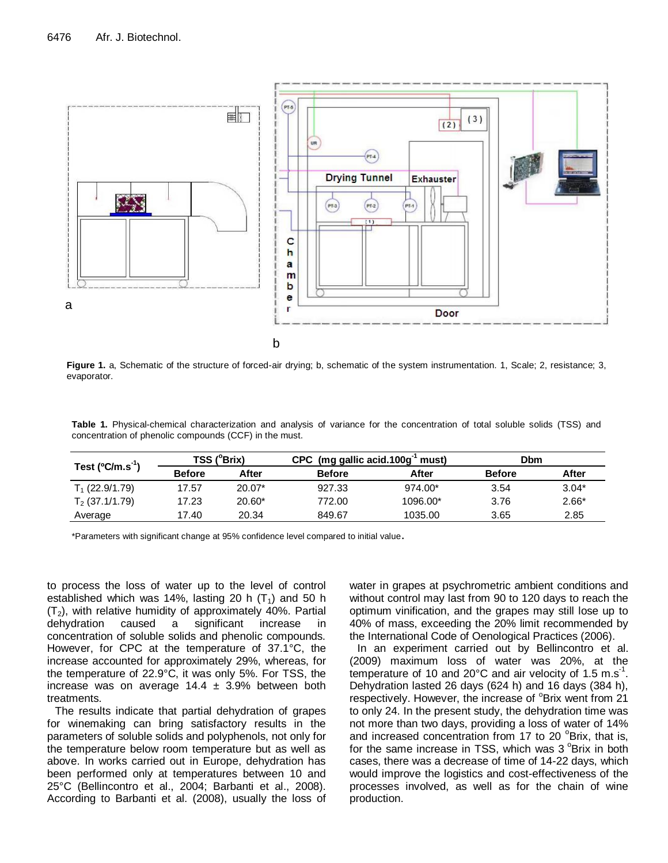

**Figure 1.** a, Schematic of the structure of forced-air drying; b, schematic of the system instrumentation. 1, Scale; 2, resistance; 3, evaporator.

**Table 1.** Physical-chemical characterization and analysis of variance for the concentration of total soluble solids (TSS) and concentration of phenolic compounds (CCF) in the must.

| Test $(^{\circ}C/m.s^{-1})$ | TSS (°Brix)   |          | CPC (mg gallic acid.100 $g^{-1}$ must) |          | Dbm           |         |
|-----------------------------|---------------|----------|----------------------------------------|----------|---------------|---------|
|                             | <b>Before</b> | After    | <b>Before</b>                          | After    | <b>Before</b> | After   |
| $T_1$ (22.9/1.79)           | 17.57         | $20.07*$ | 927.33                                 | 974.00*  | 3.54          | $3.04*$ |
| $T_2$ (37.1/1.79)           | 17.23         | $20.60*$ | 772.00                                 | 1096.00* | 3.76          | $2.66*$ |
| Average                     | 17.40         | 20.34    | 849.67                                 | 1035.00  | 3.65          | 2.85    |

\*Parameters with significant change at 95% confidence level compared to initial value.

to process the loss of water up to the level of control established which was 14%, lasting 20 h  $(T_1)$  and 50 h  $(T_2)$ , with relative humidity of approximately 40%. Partial dehydration caused a significant increase in concentration of soluble solids and phenolic compounds. However, for CPC at the temperature of 37.1°C, the increase accounted for approximately 29%, whereas, for the temperature of 22.9°C, it was only 5%. For TSS, the increase was on average  $14.4 \pm 3.9\%$  between both treatments.

The results indicate that partial dehydration of grapes for winemaking can bring satisfactory results in the parameters of soluble solids and polyphenols, not only for the temperature below room temperature but as well as above. In works carried out in Europe, dehydration has been performed only at temperatures between 10 and 25°C (Bellincontro et al., 2004; Barbanti et al., 2008). According to Barbanti et al. (2008), usually the loss of water in grapes at psychrometric ambient conditions and without control may last from 90 to 120 days to reach the optimum vinification, and the grapes may still lose up to 40% of mass, exceeding the 20% limit recommended by the International Code of Oenological Practices (2006).

In an experiment carried out by Bellincontro et al. (2009) maximum loss of water was 20%, at the temperature of 10 and 20°C and air velocity of 1.5 m.s<sup>-1</sup>. Dehydration lasted 26 days (624 h) and 16 days (384 h), respectively. However, the increase of <sup>o</sup>Brix went from 21 to only 24. In the present study, the dehydration time was not more than two days, providing a loss of water of 14% and increased concentration from 17 to 20  $^{\circ}$ Brix, that is, for the same increase in TSS, which was  $3^{\circ}$ Brix in both cases, there was a decrease of time of 14-22 days, which would improve the logistics and cost-effectiveness of the processes involved, as well as for the chain of wine production.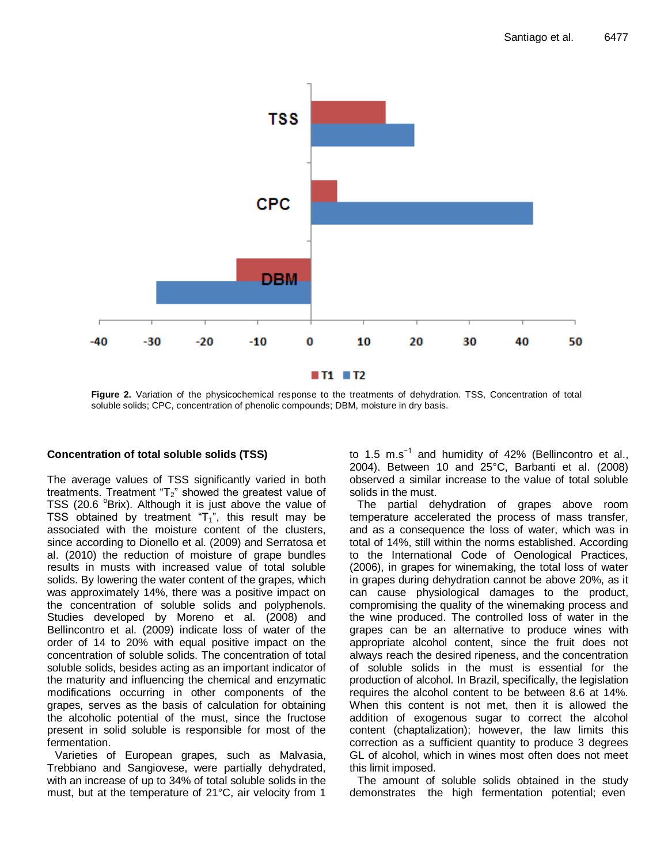

**Figure 2.** Variation of the physicochemical response to the treatments of dehydration. TSS, Concentration of total soluble solids; CPC, concentration of phenolic compounds; DBM, moisture in dry basis.

#### **Concentration of total soluble solids (TSS)**

The average values of TSS significantly varied in both treatments. Treatment " $T_2$ " showed the greatest value of TSS (20.6  $\textdegree$ Brix). Although it is just above the value of TSS obtained by treatment " $T_1$ ", this result may be associated with the moisture content of the clusters, since according to Dionello et al. (2009) and Serratosa et al. (2010) the reduction of moisture of grape bundles results in musts with increased value of total soluble solids. By lowering the water content of the grapes, which was approximately 14%, there was a positive impact on the concentration of soluble solids and polyphenols. Studies developed by Moreno et al. (2008) and Bellincontro et al. (2009) indicate loss of water of the order of 14 to 20% with equal positive impact on the concentration of soluble solids. The concentration of total soluble solids, besides acting as an important indicator of the maturity and influencing the chemical and enzymatic modifications occurring in other components of the grapes, serves as the basis of calculation for obtaining the alcoholic potential of the must, since the fructose present in solid soluble is responsible for most of the fermentation.

Varieties of European grapes, such as Malvasia, Trebbiano and Sangiovese, were partially dehydrated, with an increase of up to 34% of total soluble solids in the must, but at the temperature of 21°C, air velocity from 1 to 1.5 m.s<sup>-1</sup> and humidity of 42% (Bellincontro et al., 2004). Between 10 and 25°C, Barbanti et al. (2008) observed a similar increase to the value of total soluble solids in the must.

The partial dehydration of grapes above room temperature accelerated the process of mass transfer, and as a consequence the loss of water, which was in total of 14%, still within the norms established. According to the International Code of Oenological Practices, (2006), in grapes for winemaking, the total loss of water in grapes during dehydration cannot be above 20%, as it can cause physiological damages to the product, compromising the quality of the winemaking process and the wine produced. The controlled loss of water in the grapes can be an alternative to produce wines with appropriate alcohol content, since the fruit does not always reach the desired ripeness, and the concentration of soluble solids in the must is essential for the production of alcohol. In Brazil, specifically, the legislation requires the alcohol content to be between 8.6 at 14%. When this content is not met, then it is allowed the addition of exogenous sugar to correct the alcohol content (chaptalization); however, the law limits this correction as a sufficient quantity to produce 3 degrees GL of alcohol, which in wines most often does not meet this limit imposed.

The amount of soluble solids obtained in the study demonstrates the high fermentation potential; even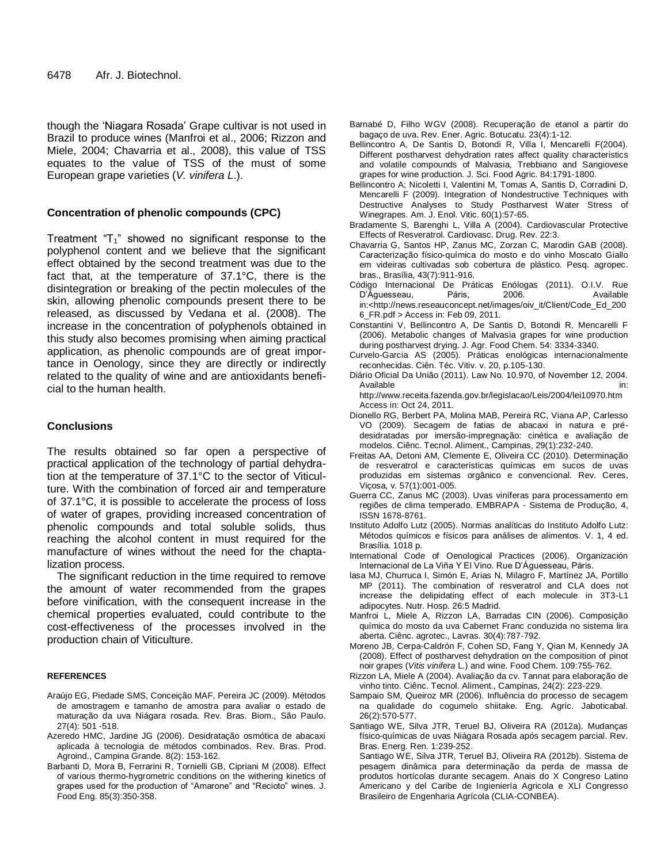though the "Niagara Rosada" Grape cultivar is not used in Brazil to produce wines (Manfroi et al., 2006; Rizzon and Miele, 2004; Chavarria et al., 2008), this value of TSS equates to the value of TSS of the must of some European grape varieties (*V. vinifera L*.).

#### **Concentration of phenolic compounds (CPC)**

Treatment " $T_1$ " showed no significant response to the polyphenol content and we believe that the significant effect obtained by the second treatment was due to the fact that, at the temperature of 37.1°C, there is the disintegration or breaking of the pectin molecules of the skin, allowing phenolic compounds present there to be released, as discussed by Vedana et al. (2008). The increase in the concentration of polyphenols obtained in this study also becomes promising when aiming practical application, as phenolic compounds are of great importance in Oenology, since they are directly or indirectly related to the quality of wine and are antioxidants beneficial to the human health.

#### **Conclusions**

The results obtained so far open a perspective of practical application of the technology of partial dehydration at the temperature of 37.1°C to the sector of Viticulture. With the combination of forced air and temperature of 37.1°C, it is possible to accelerate the process of loss of water of grapes, providing increased concentration of phenolic compounds and total soluble solids, thus reaching the alcohol content in must required for the manufacture of wines without the need for the chaptalization process.

The significant reduction in the time required to remove the amount of water recommended from the grapes before vinification, with the consequent increase in the chemical properties evaluated, could contribute to the cost-effectiveness of the processes involved in the production chain of Viticulture.

#### **REFERENCES**

- Araújo EG, Piedade SMS, Conceição MAF, Pereira JC (2009). Métodos de amostragem e tamanho de amostra para avaliar o estado de maturação da uva Niágara rosada. Rev. Bras. Biom., São Paulo. 27(4): 501 -518.
- Azeredo HMC, Jardine JG (2006). Desidratação osmótica de abacaxi aplicada à tecnologia de métodos combinados. Rev. Bras. Prod. Agroind., Campina Grande. 8(2): 153-162.
- Barbanti D, Mora B, Ferrarini R, Tornielli GB, Cipriani M (2008). Effect of various thermo-hygrometric conditions on the withering kinetics of grapes used for the production of "Amarone" and "Recioto" wines. J. Food Eng. 85(3):350-358.
- Barnabé D, Filho WGV (2008). Recuperação de etanol a partir do bagaço de uva. Rev. Ener. Agric. Botucatu. 23(4):1-12.
- Bellincontro A, De Santis D, Botondi R, Villa I, Mencarelli F(2004). Different postharvest dehydration rates affect quality characteristics and volatile compounds of Malvasia, Trebbiano and Sangiovese grapes for wine production. J. Sci. Food Agric. 84:1791-1800.
- Bellincontro A; Nicoletti I, Valentini M, Tomas A, Santis D, Corradini D, Mencarelli F (2009). Integration of Nondestructive Techniques with Destructive Analyses to Study Postharvest Water Stress of Winegrapes. Am. J. Enol. Vitic. 60(1):57-65.
- Bradamente S, Barenghi L, Villa A (2004). Cardiovascular Protective Effects of Resveratrol. Cardiovasc. Drug. Rev. 22:3.
- Chavarria G, Santos HP, Zanus MC, Zorzan C, Marodin GAB (2008). Caracterização físico-química do mosto e do vinho Moscato Giallo em videiras cultivadas sob cobertura de plástico. Pesq. agropec. bras., Brasília, 43(7):911-916.
- Código Internacional De Práticas Enólogas (2011). O.I.V. Rue D"Águesseau, Páris, 2006. Available in:[<http://news.reseauconcept.net/images/oiv\\_it/Client/Code\\_Ed\\_200](http://news.reseauconcept.net/images/oiv_it/Client/Code_Ed_2006_FR.pdf) [6\\_FR.pdf](http://news.reseauconcept.net/images/oiv_it/Client/Code_Ed_2006_FR.pdf) > Access in: Feb 09, 2011.
- Constantini V, Bellincontro A, De Santis D, Botondi R, Mencarelli F (2006). Metabolic changes of Malvasia grapes for wine production during postharvest drying. J. Agr. Food Chem. 54: 3334-3340.
- Curvelo-Garcia AS (2005). Práticas enológicas internacionalmente reconhecidas. Ciên. Téc. Vitiv. v. 20, p.105-130.
- Diário Oficial Da União (2011). Law No. 10.970, of November 12, 2004. Available in:

http://www.receita.fazenda.gov.br/legislacao/Leis/2004/lei10970.htm Access in: Oct 24, 2011.

- Dionello RG, Berbert PA, Molina MAB, Pereira RC, Viana AP, Carlesso VO (2009). Secagem de fatias de abacaxi in natura e prédesidratadas por imersão-impregnação: cinética e avaliação de modelos. Ciênc. Tecnol. Aliment., Campinas, 29(1):232-240.
- Freitas AA, Detoni AM, Clemente E, Oliveira CC (2010). Determinação de resveratrol e características químicas em sucos de uvas produzidas em sistemas orgânico e convencional. Rev. Ceres, Viçosa, v. 57(1):001-005.
- Guerra CC, Zanus MC (2003). Uvas viníferas para processamento em regiões de clima temperado. EMBRAPA - Sistema de Produção, 4, ISSN 1678-8761.
- Instituto Adolfo Lutz (2005). Normas analíticas do Instituto Adolfo Lutz: Métodos químicos e físicos para análises de alimentos. V. 1, 4 ed. Brasília. 1018 p.
- International Code of Oenological Practices (2006). Organización Internacional de La Viña Y El Vino. Rue D"Águesseau, Páris.
- lasa MJ, Churruca I, Simón E, Arias N, Milagro F, Martínez JA, Portillo MP (2011). The combination of resveratrol and CLA does not increase the delipidating effect of each molecule in 3T3-L1 adipocytes. Nutr. Hosp. 26:5 Madrid.
- Manfroi L, Miele A, Rizzon LA, Barradas CIN (2006). Composição química do mosto da uva Cabernet Franc conduzida no sistema lira aberta. Ciênc. agrotec., Lavras. 30(4):787-792.
- Moreno JB, Cerpa-Caldrón F, Cohen SD, Fang Y, Qian M, Kennedy JA (2008). Effect of postharvest dehydration on the composition of pinot noir grapes (*Vitis vinifera* L.) and wine. Food Chem. 109:755-762.
- Rizzon LA, Miele A (2004). Avaliação da cv. Tannat para elaboração de vinho tinto. Ciênc. Tecnol. Aliment., Campinas, 24(2): 223-229.
- Sampaio SM, Queiroz MR (2006). Influência do processo de secagem na qualidade do cogumelo shiitake. Eng. Agríc. Jaboticabal. 26(2):570-577.
- Santiago WE, Silva JTR, Teruel BJ, Oliveira RA (2012a). Mudanças físico-químicas de uvas Niágara Rosada após secagem parcial. Rev. Bras. Energ. Ren. 1:239-252.

Santiago WE, Silva JTR, Teruel BJ, Oliveira RA (2012b). Sistema de pesagem dinâmica para determinação da perda de massa de produtos hortícolas durante secagem. Anais do X Congreso Latino Americano y del Caribe de Ingieniería Agricola e XLI Congresso Brasileiro de Engenharia Agrícola (CLIA-CONBEA).